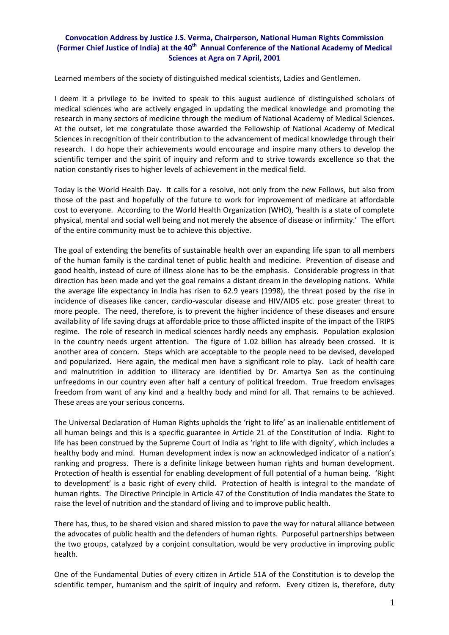## **Convocation Address by Justice J.S. Verma, Chairperson, National Human Rights Commission (Former Chief Justice of India) at the 40th Annual Conference of the National Academy of Medical Sciences at Agra on 7 April, 2001**

Learned members of the society of distinguished medical scientists, Ladies and Gentlemen.

I deem it a privilege to be invited to speak to this august audience of distinguished scholars of medical sciences who are actively engaged in updating the medical knowledge and promoting the research in many sectors of medicine through the medium of National Academy of Medical Sciences. At the outset, let me congratulate those awarded the Fellowship of National Academy of Medical Sciences in recognition of their contribution to the advancement of medical knowledge through their research. I do hope their achievements would encourage and inspire many others to develop the scientific temper and the spirit of inquiry and reform and to strive towards excellence so that the nation constantly rises to higher levels of achievement in the medical field.

Today is the World Health Day. It calls for a resolve, not only from the new Fellows, but also from those of the past and hopefully of the future to work for improvement of medicare at affordable cost to everyone. According to the World Health Organization (WHO), 'health is a state of complete physical, mental and social well being and not merely the absence of disease or infirmity.' The effort of the entire community must be to achieve this objective.

The goal of extending the benefits of sustainable health over an expanding life span to all members of the human family is the cardinal tenet of public health and medicine. Prevention of disease and good health, instead of cure of illness alone has to be the emphasis. Considerable progress in that direction has been made and yet the goal remains a distant dream in the developing nations. While the average life expectancy in India has risen to 62.9 years (1998), the threat posed by the rise in incidence of diseases like cancer, cardio‐vascular disease and HIV/AIDS etc. pose greater threat to more people. The need, therefore, is to prevent the higher incidence of these diseases and ensure availability of life saving drugs at affordable price to those afflicted inspite of the impact of the TRIPS regime. The role of research in medical sciences hardly needs any emphasis. Population explosion in the country needs urgent attention. The figure of 1.02 billion has already been crossed. It is another area of concern. Steps which are acceptable to the people need to be devised, developed and popularized. Here again, the medical men have a significant role to play. Lack of health care and malnutrition in addition to illiteracy are identified by Dr. Amartya Sen as the continuing unfreedoms in our country even after half a century of political freedom. True freedom envisages freedom from want of any kind and a healthy body and mind for all. That remains to be achieved. These areas are your serious concerns.

The Universal Declaration of Human Rights upholds the 'right to life' as an inalienable entitlement of all human beings and this is a specific guarantee in Article 21 of the Constitution of India. Right to life has been construed by the Supreme Court of India as 'right to life with dignity', which includes a healthy body and mind. Human development index is now an acknowledged indicator of a nation's ranking and progress. There is a definite linkage between human rights and human development. Protection of health is essential for enabling development of full potential of a human being. 'Right to development' is a basic right of every child. Protection of health is integral to the mandate of human rights. The Directive Principle in Article 47 of the Constitution of India mandates the State to raise the level of nutrition and the standard of living and to improve public health.

There has, thus, to be shared vision and shared mission to pave the way for natural alliance between the advocates of public health and the defenders of human rights. Purposeful partnerships between the two groups, catalyzed by a conjoint consultation, would be very productive in improving public health.

One of the Fundamental Duties of every citizen in Article 51A of the Constitution is to develop the scientific temper, humanism and the spirit of inquiry and reform. Every citizen is, therefore, duty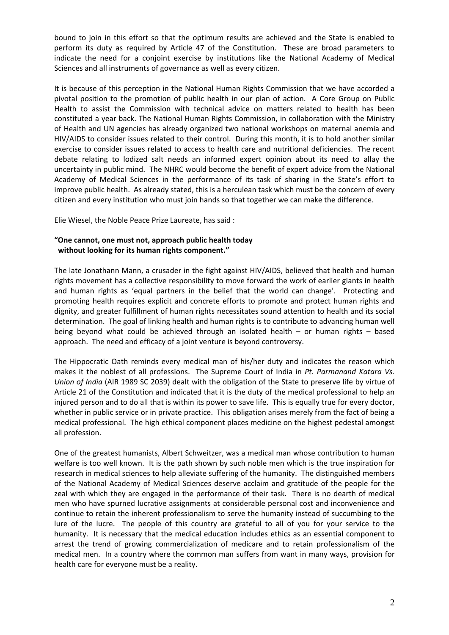bound to join in this effort so that the optimum results are achieved and the State is enabled to perform its duty as required by Article 47 of the Constitution. These are broad parameters to indicate the need for a conjoint exercise by institutions like the National Academy of Medical Sciences and all instruments of governance as well as every citizen.

It is because of this perception in the National Human Rights Commission that we have accorded a pivotal position to the promotion of public health in our plan of action. A Core Group on Public Health to assist the Commission with technical advice on matters related to health has been constituted a year back. The National Human Rights Commission, in collaboration with the Ministry of Health and UN agencies has already organized two national workshops on maternal anemia and HIV/AIDS to consider issues related to their control. During this month, it is to hold another similar exercise to consider issues related to access to health care and nutritional deficiencies. The recent debate relating to lodized salt needs an informed expert opinion about its need to allay the uncertainty in public mind. The NHRC would become the benefit of expert advice from the National Academy of Medical Sciences in the performance of its task of sharing in the State's effort to improve public health. As already stated, this is a herculean task which must be the concern of every citizen and every institution who must join hands so that together we can make the difference.

Elie Wiesel, the Noble Peace Prize Laureate, has said :

## **"One cannot, one must not, approach public health today without looking for its human rights component."**

The late Jonathann Mann, a crusader in the fight against HIV/AIDS, believed that health and human rights movement has a collective responsibility to move forward the work of earlier giants in health and human rights as 'equal partners in the belief that the world can change'. Protecting and promoting health requires explicit and concrete efforts to promote and protect human rights and dignity, and greater fulfillment of human rights necessitates sound attention to health and its social determination. The goal of linking health and human rights is to contribute to advancing human well being beyond what could be achieved through an isolated health – or human rights – based approach. The need and efficacy of a joint venture is beyond controversy.

The Hippocratic Oath reminds every medical man of his/her duty and indicates the reason which makes it the noblest of all professions. The Supreme Court of India in *Pt. Parmanand Katara Vs. Union of India* (AIR 1989 SC 2039) dealt with the obligation of the State to preserve life by virtue of Article 21 of the Constitution and indicated that it is the duty of the medical professional to help an injured person and to do all that is within its power to save life. This is equally true for every doctor, whether in public service or in private practice. This obligation arises merely from the fact of being a medical professional. The high ethical component places medicine on the highest pedestal amongst all profession.

One of the greatest humanists, Albert Schweitzer, was a medical man whose contribution to human welfare is too well known. It is the path shown by such noble men which is the true inspiration for research in medical sciences to help alleviate suffering of the humanity. The distinguished members of the National Academy of Medical Sciences deserve acclaim and gratitude of the people for the zeal with which they are engaged in the performance of their task. There is no dearth of medical men who have spurned lucrative assignments at considerable personal cost and inconvenience and continue to retain the inherent professionalism to serve the humanity instead of succumbing to the lure of the lucre. The people of this country are grateful to all of you for your service to the humanity. It is necessary that the medical education includes ethics as an essential component to arrest the trend of growing commercialization of medicare and to retain professionalism of the medical men. In a country where the common man suffers from want in many ways, provision for health care for everyone must be a reality.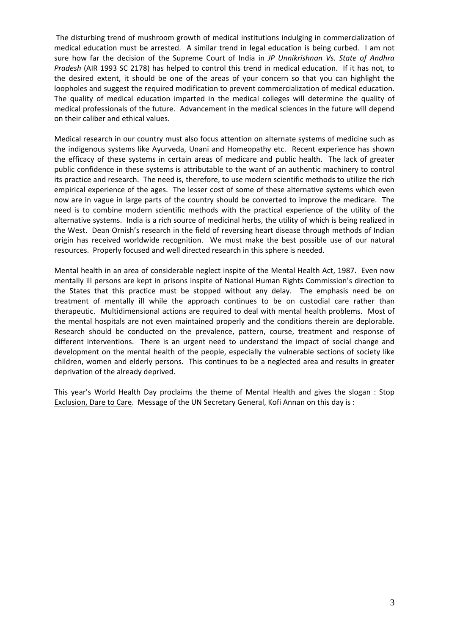The disturbing trend of mushroom growth of medical institutions indulging in commercialization of medical education must be arrested. A similar trend in legal education is being curbed. I am not sure how far the decision of the Supreme Court of India in *JP Unnikrishnan Vs. State of Andhra Pradesh* (AIR 1993 SC 2178) has helped to control this trend in medical education. If it has not, to the desired extent, it should be one of the areas of your concern so that you can highlight the loopholes and suggest the required modification to prevent commercialization of medical education. The quality of medical education imparted in the medical colleges will determine the quality of medical professionals of the future. Advancement in the medical sciences in the future will depend on their caliber and ethical values.

Medical research in our country must also focus attention on alternate systems of medicine such as the indigenous systems like Ayurveda, Unani and Homeopathy etc. Recent experience has shown the efficacy of these systems in certain areas of medicare and public health. The lack of greater public confidence in these systems is attributable to the want of an authentic machinery to control its practice and research. The need is, therefore, to use modern scientific methods to utilize the rich empirical experience of the ages. The lesser cost of some of these alternative systems which even now are in vague in large parts of the country should be converted to improve the medicare. The need is to combine modern scientific methods with the practical experience of the utility of the alternative systems. India is a rich source of medicinal herbs, the utility of which is being realized in the West. Dean Ornish's research in the field of reversing heart disease through methods of Indian origin has received worldwide recognition. We must make the best possible use of our natural resources. Properly focused and well directed research in this sphere is needed.

Mental health in an area of considerable neglect inspite of the Mental Health Act, 1987. Even now mentally ill persons are kept in prisons inspite of National Human Rights Commission's direction to the States that this practice must be stopped without any delay. The emphasis need be on treatment of mentally ill while the approach continues to be on custodial care rather than therapeutic. Multidimensional actions are required to deal with mental health problems. Most of the mental hospitals are not even maintained properly and the conditions therein are deplorable. Research should be conducted on the prevalence, pattern, course, treatment and response of different interventions. There is an urgent need to understand the impact of social change and development on the mental health of the people, especially the vulnerable sections of society like children, women and elderly persons. This continues to be a neglected area and results in greater deprivation of the already deprived.

This year's World Health Day proclaims the theme of Mental Health and gives the slogan : Stop Exclusion, Dare to Care. Message of the UN Secretary General, Kofi Annan on this day is :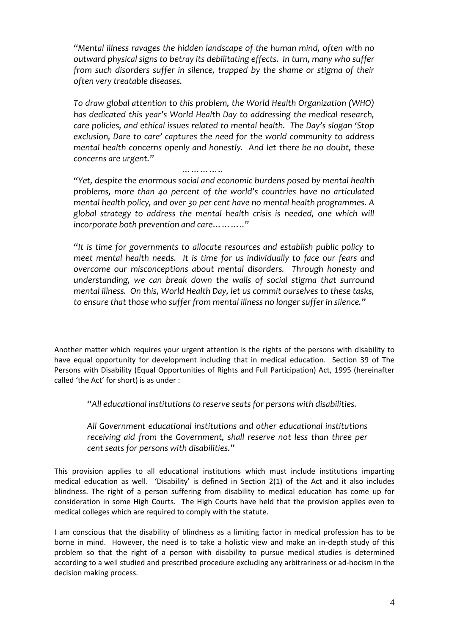*"Mental illness ravages the hidden landscape of the human mind, often with no outward physical signs to betray its debilitating effects. In turn, many who suffer from such disorders suffer in silence, trapped by the shame or stigma of their often very treatable diseases.*

*To draw global attention to this problem, the World Health Organization (WHO) has dedicated this year's World Health Day to addressing the medical research, care policies, and ethical issues related to mental health. The Day's slogan 'Stop exclusion, Dare to care' captures the need for the world community to address mental health concerns openly and honestly. And let there be no doubt, these concerns are urgent."*

 *…………..*

*"Yet, despite the enormous social and economic burdens posed by mental health problems, more than 40 percent of the world's countries have no articulated mental health policy, and over 30 per cent have no mental health programmes. A global strategy to address the mental health crisis is needed, one which will incorporate both prevention and care……….."*

*"It is time for governments to allocate resources and establish public policy to meet mental health needs. It is time for us individually to face our fears and overcome our misconceptions about mental disorders. Through honesty and understanding, we can break down the walls of social stigma that surround mental illness. On this, World Health Day, let us commit ourselves to these tasks, to ensure that those who suffer from mental illness no longer suffer in silence."*

Another matter which requires your urgent attention is the rights of the persons with disability to have equal opportunity for development including that in medical education. Section 39 of The Persons with Disability (Equal Opportunities of Rights and Full Participation) Act, 1995 (hereinafter called 'the Act' for short) is as under :

*"All educational institutions to reserve seats for persons with disabilities.*

*All Government educational institutions and other educational institutions receiving aid from the Government, shall reserve not less than three per cent seats for persons with disabilities."*

This provision applies to all educational institutions which must include institutions imparting medical education as well. 'Disability' is defined in Section 2(1) of the Act and it also includes blindness. The right of a person suffering from disability to medical education has come up for consideration in some High Courts. The High Courts have held that the provision applies even to medical colleges which are required to comply with the statute.

I am conscious that the disability of blindness as a limiting factor in medical profession has to be borne in mind. However, the need is to take a holistic view and make an in-depth study of this problem so that the right of a person with disability to pursue medical studies is determined according to a well studied and prescribed procedure excluding any arbitrariness or ad‐hocism in the decision making process.